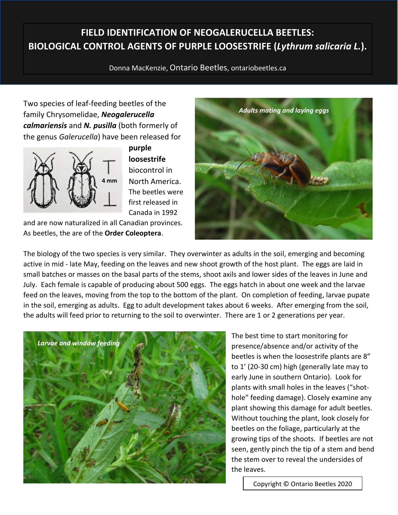## **FIELD IDENTIFICATION OF NEOGALERUCELLA BEETLES: BIOLOGICAL CONTROL AGENTS OF PURPLE LOOSESTRIFE (***Lythrum salicaria L.***).**

Donna MacKenzie, Ontario Beetles, ontariobeetles.ca

Two species of leaf-feeding beetles of the family Chrysomelidae, *Neogalerucella calmariensis* and *N. pusilla* (both formerly of the genus *Galerucella*) have been released for



**purple loosestrife** biocontrol in North America. The beetles were first released in Canada in 1992

and are now naturalized in all Canadian provinces. As beetles, the are of the **Order Coleoptera**.



The biology of the two species is very similar. They overwinter as adults in the soil, emerging and becoming active in mid - late May, feeding on the leaves and new shoot growth of the host plant. The eggs are laid in small batches or masses on the basal parts of the stems, shoot axils and lower sides of the leaves in June and July. Each female is capable of producing about 500 eggs. The eggs hatch in about one week and the larvae feed on the leaves, moving from the top to the bottom of the plant. On completion of feeding, larvae pupate in the soil, emerging as adults. Egg to adult development takes about 6 weeks. After emerging from the soil, the adults will feed prior to returning to the soil to overwinter. There are 1 or 2 generations per year.



The best time to start monitoring for presence/absence and/or activity of the beetles is when the loosestrife plants are 8" to 1' (20-30 cm) high (generally late may to early June in southern Ontario). Look for plants with small holes in the leaves ("shothole" feeding damage). Closely examine any plant showing this damage for adult beetles. Without touching the plant, look closely for beetles on the foliage, particularly at the growing tips of the shoots. If beetles are not seen, gently pinch the tip of a stem and bend the stem over to reveal the undersides of the leaves.

Copyright © Ontario Beetles 2020